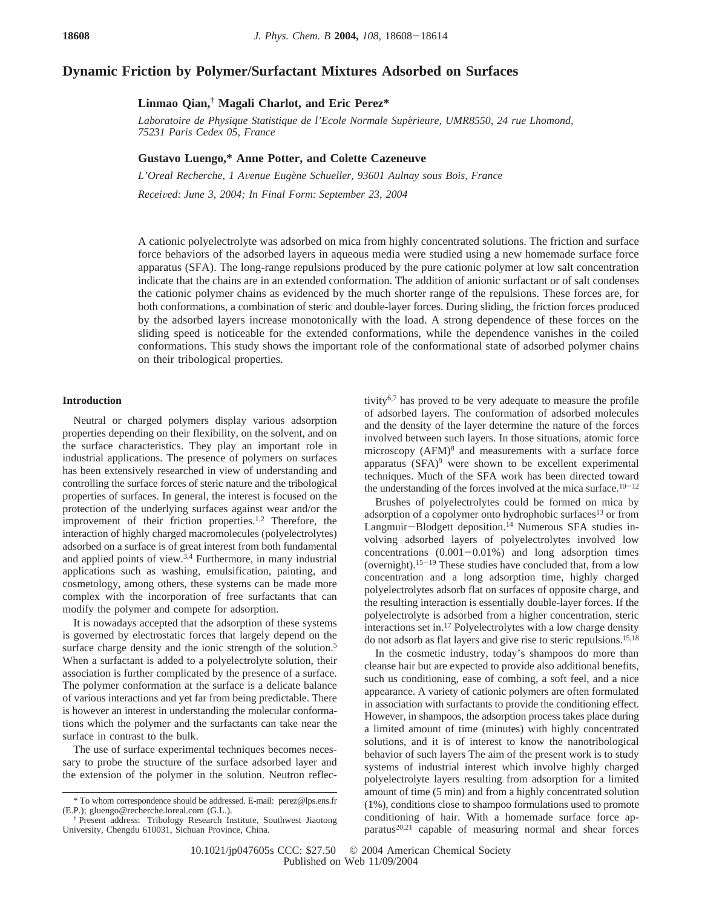# **Dynamic Friction by Polymer/Surfactant Mixtures Adsorbed on Surfaces**

# **Linmao Qian,† Magali Charlot, and Eric Perez\***

*Laboratoire de Physique Statistique de l'Ecole Normale Supe*´*rieure, UMR8550, 24 rue Lhomond, 75231 Paris Cedex 05, France*

## **Gustavo Luengo,\* Anne Potter, and Colette Cazeneuve**

*L'Oreal Recherche, 1 A*V*enue Euge*`*ne Schueller, 93601 Aulnay sous Bois, France Recei*V*ed: June 3, 2004; In Final Form: September 23, 2004*

A cationic polyelectrolyte was adsorbed on mica from highly concentrated solutions. The friction and surface force behaviors of the adsorbed layers in aqueous media were studied using a new homemade surface force apparatus (SFA). The long-range repulsions produced by the pure cationic polymer at low salt concentration indicate that the chains are in an extended conformation. The addition of anionic surfactant or of salt condenses the cationic polymer chains as evidenced by the much shorter range of the repulsions. These forces are, for both conformations, a combination of steric and double-layer forces. During sliding, the friction forces produced by the adsorbed layers increase monotonically with the load. A strong dependence of these forces on the sliding speed is noticeable for the extended conformations, while the dependence vanishes in the coiled conformations. This study shows the important role of the conformational state of adsorbed polymer chains on their tribological properties.

#### **Introduction**

Neutral or charged polymers display various adsorption properties depending on their flexibility, on the solvent, and on the surface characteristics. They play an important role in industrial applications. The presence of polymers on surfaces has been extensively researched in view of understanding and controlling the surface forces of steric nature and the tribological properties of surfaces. In general, the interest is focused on the protection of the underlying surfaces against wear and/or the improvement of their friction properties.<sup>1,2</sup> Therefore, the interaction of highly charged macromolecules (polyelectrolytes) adsorbed on a surface is of great interest from both fundamental and applied points of view.3,4 Furthermore, in many industrial applications such as washing, emulsification, painting, and cosmetology, among others, these systems can be made more complex with the incorporation of free surfactants that can modify the polymer and compete for adsorption.

It is nowadays accepted that the adsorption of these systems is governed by electrostatic forces that largely depend on the surface charge density and the ionic strength of the solution.<sup>5</sup> When a surfactant is added to a polyelectrolyte solution, their association is further complicated by the presence of a surface. The polymer conformation at the surface is a delicate balance of various interactions and yet far from being predictable. There is however an interest in understanding the molecular conformations which the polymer and the surfactants can take near the surface in contrast to the bulk.

The use of surface experimental techniques becomes necessary to probe the structure of the surface adsorbed layer and the extension of the polymer in the solution. Neutron reflectivity6,7 has proved to be very adequate to measure the profile of adsorbed layers. The conformation of adsorbed molecules and the density of the layer determine the nature of the forces involved between such layers. In those situations, atomic force microscopy  $(AFM)^8$  and measurements with a surface force apparatus  $(SFA)^9$  were shown to be excellent experimental techniques. Much of the SFA work has been directed toward the understanding of the forces involved at the mica surface.<sup>10-12</sup>

Brushes of polyelectrolytes could be formed on mica by adsorption of a copolymer onto hydrophobic surfaces<sup>13</sup> or from Langmuir-Blodgett deposition.14 Numerous SFA studies involving adsorbed layers of polyelectrolytes involved low concentrations  $(0.001-0.01\%)$  and long adsorption times (overnight).<sup>15-19</sup> These studies have concluded that, from a low concentration and a long adsorption time, highly charged polyelectrolytes adsorb flat on surfaces of opposite charge, and the resulting interaction is essentially double-layer forces. If the polyelectrolyte is adsorbed from a higher concentration, steric interactions set in.17 Polyelectrolytes with a low charge density do not adsorb as flat layers and give rise to steric repulsions.15,18

In the cosmetic industry, today's shampoos do more than cleanse hair but are expected to provide also additional benefits, such us conditioning, ease of combing, a soft feel, and a nice appearance. A variety of cationic polymers are often formulated in association with surfactants to provide the conditioning effect. However, in shampoos, the adsorption process takes place during a limited amount of time (minutes) with highly concentrated solutions, and it is of interest to know the nanotribological behavior of such layers The aim of the present work is to study systems of industrial interest which involve highly charged polyelectrolyte layers resulting from adsorption for a limited amount of time (5 min) and from a highly concentrated solution (1%), conditions close to shampoo formulations used to promote conditioning of hair. With a homemade surface force apparatus20,21 capable of measuring normal and shear forces

<sup>\*</sup> To whom correspondence should be addressed. E-mail: perez@lps.ens.fr (E.P.); gluengo@recherche.loreal.com (G.L.).

<sup>†</sup> Present address: Tribology Research Institute, Southwest Jiaotong University, Chengdu 610031, Sichuan Province, China.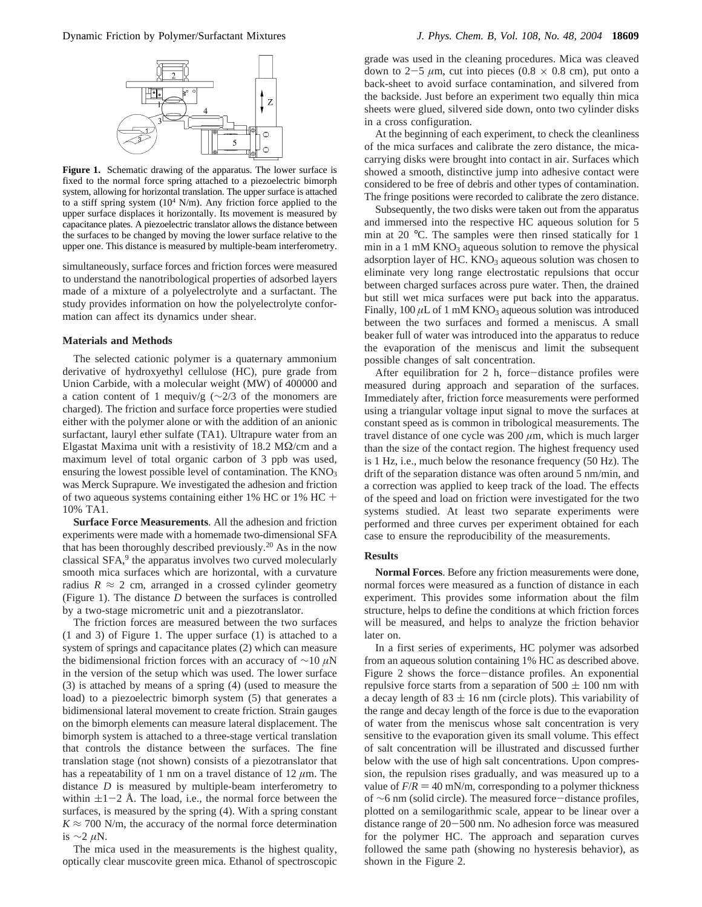

**Figure 1.** Schematic drawing of the apparatus. The lower surface is fixed to the normal force spring attached to a piezoelectric bimorph system, allowing for horizontal translation. The upper surface is attached to a stiff spring system (104 N/m). Any friction force applied to the upper surface displaces it horizontally. Its movement is measured by capacitance plates. A piezoelectric translator allows the distance between the surfaces to be changed by moving the lower surface relative to the upper one. This distance is measured by multiple-beam interferometry.

simultaneously, surface forces and friction forces were measured to understand the nanotribological properties of adsorbed layers made of a mixture of a polyelectrolyte and a surfactant. The study provides information on how the polyelectrolyte conformation can affect its dynamics under shear.

## **Materials and Methods**

The selected cationic polymer is a quaternary ammonium derivative of hydroxyethyl cellulose (HC), pure grade from Union Carbide, with a molecular weight (MW) of 400000 and a cation content of 1 mequiv/g (∼2/3 of the monomers are charged). The friction and surface force properties were studied either with the polymer alone or with the addition of an anionic surfactant, lauryl ether sulfate (TA1). Ultrapure water from an Elgastat Maxima unit with a resistivity of 18.2 MΩ/cm and a maximum level of total organic carbon of 3 ppb was used, ensuring the lowest possible level of contamination. The  $KNO<sub>3</sub>$ was Merck Suprapure. We investigated the adhesion and friction of two aqueous systems containing either 1% HC or 1% HC + 10% TA1.

**Surface Force Measurements**. All the adhesion and friction experiments were made with a homemade two-dimensional SFA that has been thoroughly described previously.<sup>20</sup> As in the now classical SFA,<sup>9</sup> the apparatus involves two curved molecularly smooth mica surfaces which are horizontal, with a curvature radius  $R \approx 2$  cm, arranged in a crossed cylinder geometry (Figure 1). The distance *D* between the surfaces is controlled by a two-stage micrometric unit and a piezotranslator.

The friction forces are measured between the two surfaces (1 and 3) of Figure 1. The upper surface (1) is attached to a system of springs and capacitance plates (2) which can measure the bidimensional friction forces with an accuracy of ∼10 *µ*N in the version of the setup which was used. The lower surface (3) is attached by means of a spring (4) (used to measure the load) to a piezoelectric bimorph system (5) that generates a bidimensional lateral movement to create friction. Strain gauges on the bimorph elements can measure lateral displacement. The bimorph system is attached to a three-stage vertical translation that controls the distance between the surfaces. The fine translation stage (not shown) consists of a piezotranslator that has a repeatability of 1 nm on a travel distance of 12  $\mu$ m. The distance *D* is measured by multiple-beam interferometry to within  $\pm 1$ -2 Å. The load, i.e., the normal force between the surfaces, is measured by the spring (4). With a spring constant  $K \approx 700$  N/m, the accuracy of the normal force determination is ∼2 *µ*N.

The mica used in the measurements is the highest quality, optically clear muscovite green mica. Ethanol of spectroscopic

grade was used in the cleaning procedures. Mica was cleaved down to  $2-5 \mu m$ , cut into pieces (0.8  $\times$  0.8 cm), put onto a back-sheet to avoid surface contamination, and silvered from the backside. Just before an experiment two equally thin mica sheets were glued, silvered side down, onto two cylinder disks in a cross configuration.

At the beginning of each experiment, to check the cleanliness of the mica surfaces and calibrate the zero distance, the micacarrying disks were brought into contact in air. Surfaces which showed a smooth, distinctive jump into adhesive contact were considered to be free of debris and other types of contamination. The fringe positions were recorded to calibrate the zero distance.

Subsequently, the two disks were taken out from the apparatus and immersed into the respective HC aqueous solution for 5 min at 20 °C. The samples were then rinsed statically for 1 min in a  $1 \text{ mM KNO}_3$  aqueous solution to remove the physical adsorption layer of HC.  $KNO<sub>3</sub>$  aqueous solution was chosen to eliminate very long range electrostatic repulsions that occur between charged surfaces across pure water. Then, the drained but still wet mica surfaces were put back into the apparatus. Finally,  $100 \mu L$  of 1 mM KNO<sub>3</sub> aqueous solution was introduced between the two surfaces and formed a meniscus. A small beaker full of water was introduced into the apparatus to reduce the evaporation of the meniscus and limit the subsequent possible changes of salt concentration.

After equilibration for 2 h, force-distance profiles were measured during approach and separation of the surfaces. Immediately after, friction force measurements were performed using a triangular voltage input signal to move the surfaces at constant speed as is common in tribological measurements. The travel distance of one cycle was 200 *µ*m, which is much larger than the size of the contact region. The highest frequency used is 1 Hz, i.e., much below the resonance frequency (50 Hz). The drift of the separation distance was often around 5 nm/min, and a correction was applied to keep track of the load. The effects of the speed and load on friction were investigated for the two systems studied. At least two separate experiments were performed and three curves per experiment obtained for each case to ensure the reproducibility of the measurements.

## **Results**

**Normal Forces**. Before any friction measurements were done, normal forces were measured as a function of distance in each experiment. This provides some information about the film structure, helps to define the conditions at which friction forces will be measured, and helps to analyze the friction behavior later on.

In a first series of experiments, HC polymer was adsorbed from an aqueous solution containing 1% HC as described above. Figure 2 shows the force-distance profiles. An exponential repulsive force starts from a separation of  $500 \pm 100$  nm with a decay length of  $83 \pm 16$  nm (circle plots). This variability of the range and decay length of the force is due to the evaporation of water from the meniscus whose salt concentration is very sensitive to the evaporation given its small volume. This effect of salt concentration will be illustrated and discussed further below with the use of high salt concentrations. Upon compression, the repulsion rises gradually, and was measured up to a value of  $F/R = 40$  mN/m, corresponding to a polymer thickness of <sup>∼</sup>6 nm (solid circle). The measured force-distance profiles, plotted on a semilogarithmic scale, appear to be linear over a distance range of 20-500 nm. No adhesion force was measured for the polymer HC. The approach and separation curves followed the same path (showing no hysteresis behavior), as shown in the Figure 2.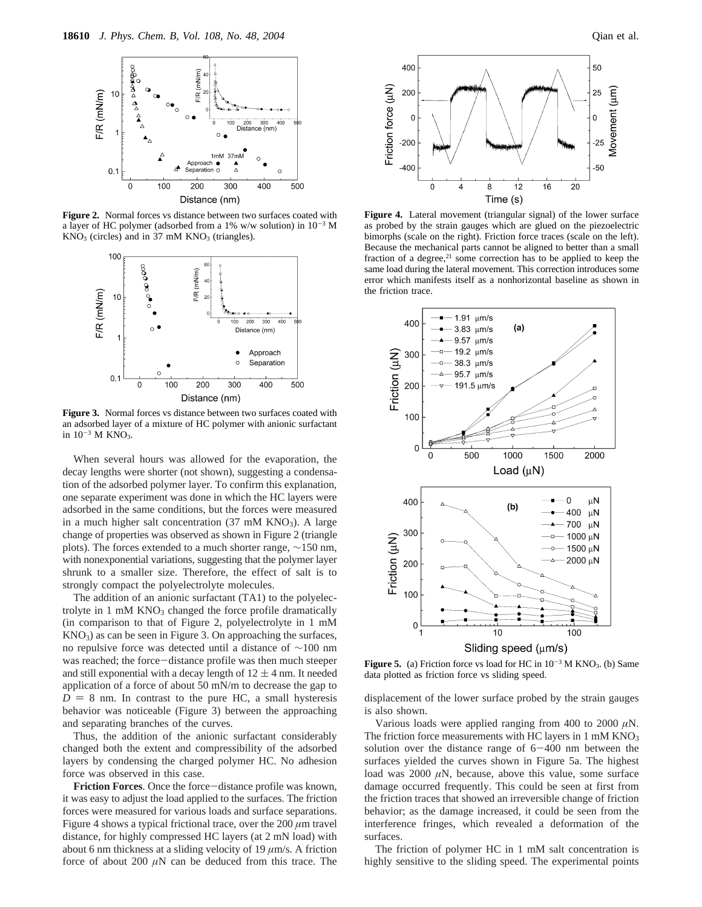

**Figure 2.** Normal forces vs distance between two surfaces coated with a layer of HC polymer (adsorbed from a 1% w/w solution) in  $10^{-3}$  M  $KNO<sub>3</sub>$  (circles) and in 37 mM  $KNO<sub>3</sub>$  (triangles).



**Figure 3.** Normal forces vs distance between two surfaces coated with an adsorbed layer of a mixture of HC polymer with anionic surfactant in  $10^{-3}$  M KNO<sub>3</sub>.

When several hours was allowed for the evaporation, the decay lengths were shorter (not shown), suggesting a condensation of the adsorbed polymer layer. To confirm this explanation, one separate experiment was done in which the HC layers were adsorbed in the same conditions, but the forces were measured in a much higher salt concentration  $(37 \text{ mM KNO}_3)$ . A large change of properties was observed as shown in Figure 2 (triangle plots). The forces extended to a much shorter range, ∼150 nm, with nonexponential variations, suggesting that the polymer layer shrunk to a smaller size. Therefore, the effect of salt is to strongly compact the polyelectrolyte molecules.

The addition of an anionic surfactant (TA1) to the polyelectrolyte in  $1 \text{ mM KNO}_3$  changed the force profile dramatically (in comparison to that of Figure 2, polyelectrolyte in 1 mM  $KNO<sub>3</sub>$ ) as can be seen in Figure 3. On approaching the surfaces, no repulsive force was detected until a distance of ∼100 nm was reached; the force-distance profile was then much steeper and still exponential with a decay length of  $12 \pm 4$  nm. It needed application of a force of about 50 mN/m to decrease the gap to  $D = 8$  nm. In contrast to the pure HC, a small hysteresis behavior was noticeable (Figure 3) between the approaching and separating branches of the curves.

Thus, the addition of the anionic surfactant considerably changed both the extent and compressibility of the adsorbed layers by condensing the charged polymer HC. No adhesion force was observed in this case.

Friction Forces. Once the force-distance profile was known, it was easy to adjust the load applied to the surfaces. The friction forces were measured for various loads and surface separations. Figure 4 shows a typical frictional trace, over the  $200 \mu m$  travel distance, for highly compressed HC layers (at 2 mN load) with about 6 nm thickness at a sliding velocity of 19 *µ*m/s. A friction force of about 200  $\mu$ N can be deduced from this trace. The



**Figure 4.** Lateral movement (triangular signal) of the lower surface as probed by the strain gauges which are glued on the piezoelectric bimorphs (scale on the right). Friction force traces (scale on the left). Because the mechanical parts cannot be aligned to better than a small fraction of a degree, $21$  some correction has to be applied to keep the same load during the lateral movement. This correction introduces some error which manifests itself as a nonhorizontal baseline as shown in the friction trace.



**Figure 5.** (a) Friction force vs load for HC in  $10^{-3}$  M KNO<sub>3</sub>. (b) Same data plotted as friction force vs sliding speed.

displacement of the lower surface probed by the strain gauges is also shown.

Various loads were applied ranging from 400 to 2000 *µ*N. The friction force measurements with HC layers in 1 mM KNO<sub>3</sub> solution over the distance range of  $6-400$  nm between the surfaces yielded the curves shown in Figure 5a. The highest load was 2000 *μ*N, because, above this value, some surface damage occurred frequently. This could be seen at first from the friction traces that showed an irreversible change of friction behavior; as the damage increased, it could be seen from the interference fringes, which revealed a deformation of the surfaces.

The friction of polymer HC in 1 mM salt concentration is highly sensitive to the sliding speed. The experimental points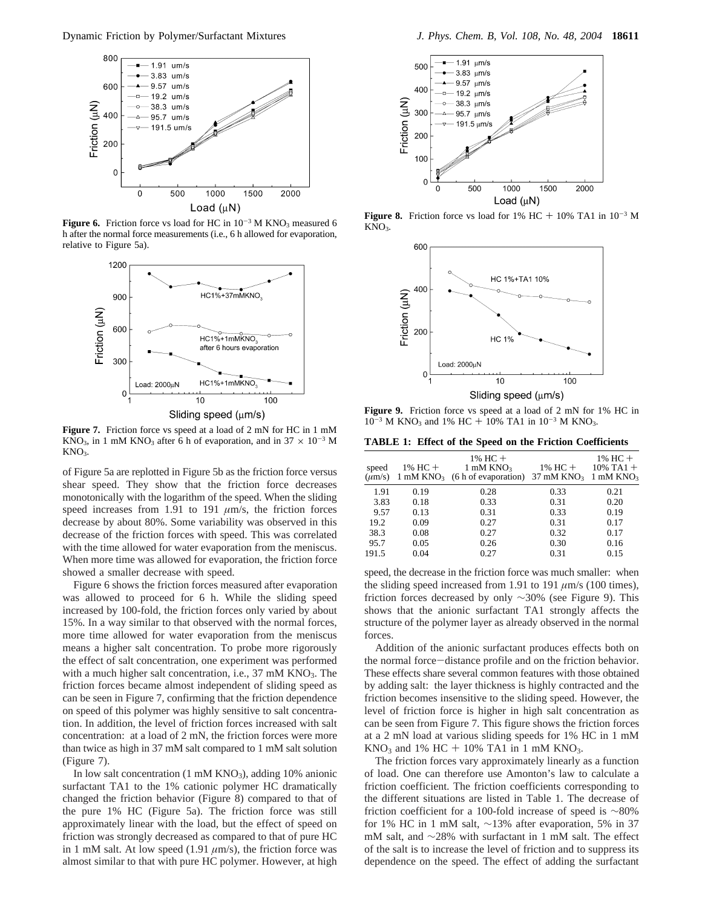

**Figure 6.** Friction force vs load for HC in  $10^{-3}$  M KNO<sub>3</sub> measured 6 h after the normal force measurements (i.e., 6 h allowed for evaporation, relative to Figure 5a).



**Figure 7.** Friction force vs speed at a load of 2 mN for HC in 1 mM KNO<sub>3</sub>, in 1 mM KNO<sub>3</sub> after 6 h of evaporation, and in  $37 \times 10^{-3}$  M KNO<sub>3</sub>.

of Figure 5a are replotted in Figure 5b as the friction force versus shear speed. They show that the friction force decreases monotonically with the logarithm of the speed. When the sliding speed increases from 1.91 to 191 *µ*m/s, the friction forces decrease by about 80%. Some variability was observed in this decrease of the friction forces with speed. This was correlated with the time allowed for water evaporation from the meniscus. When more time was allowed for evaporation, the friction force showed a smaller decrease with speed.

Figure 6 shows the friction forces measured after evaporation was allowed to proceed for 6 h. While the sliding speed increased by 100-fold, the friction forces only varied by about 15%. In a way similar to that observed with the normal forces, more time allowed for water evaporation from the meniscus means a higher salt concentration. To probe more rigorously the effect of salt concentration, one experiment was performed with a much higher salt concentration, i.e.,  $37 \text{ mM KNO}_3$ . The friction forces became almost independent of sliding speed as can be seen in Figure 7, confirming that the friction dependence on speed of this polymer was highly sensitive to salt concentration. In addition, the level of friction forces increased with salt concentration: at a load of 2 mN, the friction forces were more than twice as high in 37 mM salt compared to 1 mM salt solution (Figure 7).

In low salt concentration  $(1 \text{ mM KNO}_3)$ , adding 10% anionic surfactant TA1 to the 1% cationic polymer HC dramatically changed the friction behavior (Figure 8) compared to that of the pure 1% HC (Figure 5a). The friction force was still approximately linear with the load, but the effect of speed on friction was strongly decreased as compared to that of pure HC in 1 mM salt. At low speed  $(1.91 \mu m/s)$ , the friction force was almost similar to that with pure HC polymer. However, at high



**Figure 8.** Friction force vs load for 1% HC + 10% TA1 in  $10^{-3}$  M KNO<sub>3</sub>.



**Figure 9.** Friction force vs speed at a load of 2 mN for 1% HC in  $10^{-3}$  M KNO<sub>3</sub> and 1% HC + 10% TA1 in  $10^{-3}$  M KNO<sub>3</sub>.

**TABLE 1: Effect of the Speed on the Friction Coefficients**

| speed | $1\%$ HC $+$ | $1\%$ HC $+$<br>$1 \text{ mM KNO}_3$<br>$(\mu m/s)$ 1 mM KNO <sub>3</sub> (6 h of evaporation) 37 mM KNO <sub>3</sub> 1 mM KNO <sub>3</sub> | $1\%$ HC $+$ | $1\%$ HC $+$<br>$10\%$ TA1 + |
|-------|--------------|---------------------------------------------------------------------------------------------------------------------------------------------|--------------|------------------------------|
| 1.91  | 0.19         | 0.28                                                                                                                                        | 0.33         | 0.21                         |
| 3.83  | 0.18         | 0.33                                                                                                                                        | 0.31         | 0.20                         |
| 9.57  | 0.13         | 0.31                                                                                                                                        | 0.33         | 0.19                         |
| 19.2  | 0.09         | 0.27                                                                                                                                        | 0.31         | 0.17                         |
| 38.3  | 0.08         | 0.27                                                                                                                                        | 0.32         | 0.17                         |
| 95.7  | 0.05         | 0.26                                                                                                                                        | 0.30         | 0.16                         |
| 191.5 | 0.04         | 0.27                                                                                                                                        | 0.31         | 0.15                         |

speed, the decrease in the friction force was much smaller: when the sliding speed increased from 1.91 to 191  $\mu$ m/s (100 times), friction forces decreased by only ∼30% (see Figure 9). This shows that the anionic surfactant TA1 strongly affects the structure of the polymer layer as already observed in the normal forces.

Addition of the anionic surfactant produces effects both on the normal force-distance profile and on the friction behavior. These effects share several common features with those obtained by adding salt: the layer thickness is highly contracted and the friction becomes insensitive to the sliding speed. However, the level of friction force is higher in high salt concentration as can be seen from Figure 7. This figure shows the friction forces at a 2 mN load at various sliding speeds for 1% HC in 1 mM  $KNO<sub>3</sub>$  and 1% HC + 10% TA1 in 1 mM KNO<sub>3</sub>.

The friction forces vary approximately linearly as a function of load. One can therefore use Amonton's law to calculate a friction coefficient. The friction coefficients corresponding to the different situations are listed in Table 1. The decrease of friction coefficient for a 100-fold increase of speed is ∼80% for 1% HC in 1 mM salt, ∼13% after evaporation, 5% in 37 mM salt, and ∼28% with surfactant in 1 mM salt. The effect of the salt is to increase the level of friction and to suppress its dependence on the speed. The effect of adding the surfactant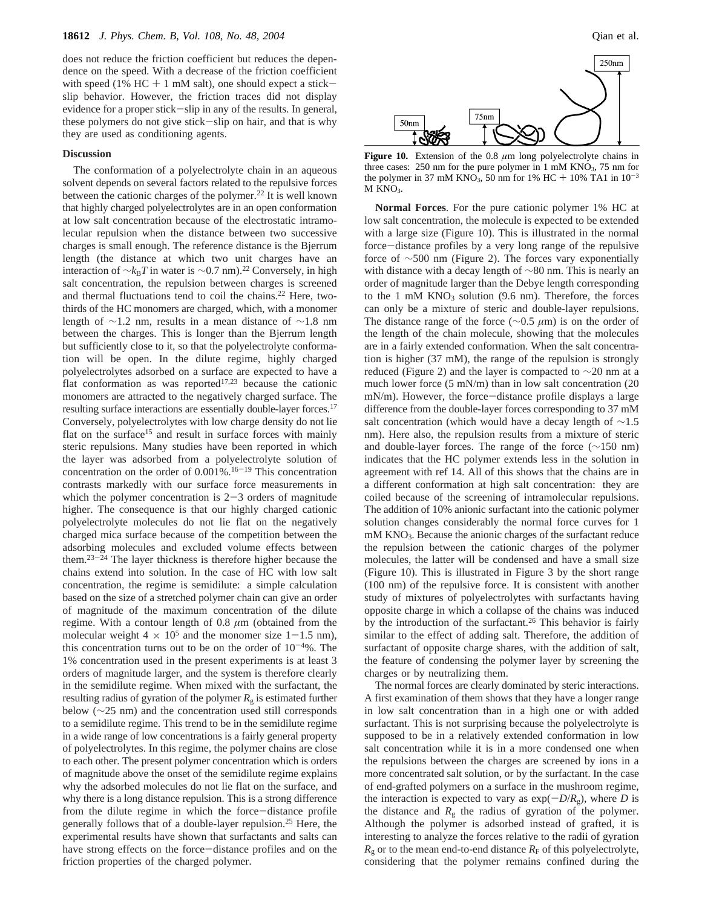does not reduce the friction coefficient but reduces the dependence on the speed. With a decrease of the friction coefficient with speed (1% HC + 1 mM salt), one should expect a stickslip behavior. However, the friction traces did not display evidence for a proper stick-slip in any of the results. In general, these polymers do not give stick-slip on hair, and that is why they are used as conditioning agents.

#### **Discussion**

The conformation of a polyelectrolyte chain in an aqueous solvent depends on several factors related to the repulsive forces between the cationic charges of the polymer.<sup>22</sup> It is well known that highly charged polyelectrolytes are in an open conformation at low salt concentration because of the electrostatic intramolecular repulsion when the distance between two successive charges is small enough. The reference distance is the Bjerrum length (the distance at which two unit charges have an interaction of ∼*k*<sub>B</sub>*T* in water is ~0.7 nm).<sup>22</sup> Conversely, in high salt concentration, the repulsion between charges is screened and thermal fluctuations tend to coil the chains.22 Here, twothirds of the HC monomers are charged, which, with a monomer length of ∼1.2 nm, results in a mean distance of ∼1.8 nm between the charges. This is longer than the Bjerrum length but sufficiently close to it, so that the polyelectrolyte conformation will be open. In the dilute regime, highly charged polyelectrolytes adsorbed on a surface are expected to have a flat conformation as was reported<sup>17,23</sup> because the cationic monomers are attracted to the negatively charged surface. The resulting surface interactions are essentially double-layer forces.17 Conversely, polyelectrolytes with low charge density do not lie flat on the surface<sup>15</sup> and result in surface forces with mainly steric repulsions. Many studies have been reported in which the layer was adsorbed from a polyelectrolyte solution of concentration on the order of 0.001%.16-<sup>19</sup> This concentration contrasts markedly with our surface force measurements in which the polymer concentration is  $2-3$  orders of magnitude higher. The consequence is that our highly charged cationic polyelectrolyte molecules do not lie flat on the negatively charged mica surface because of the competition between the adsorbing molecules and excluded volume effects between them.<sup>23-24</sup> The layer thickness is therefore higher because the chains extend into solution. In the case of HC with low salt concentration, the regime is semidilute: a simple calculation based on the size of a stretched polymer chain can give an order of magnitude of the maximum concentration of the dilute regime. With a contour length of 0.8 *µ*m (obtained from the molecular weight  $4 \times 10^5$  and the monomer size 1-1.5 nm), this concentration turns out to be on the order of  $10^{-4}\%$ . The 1% concentration used in the present experiments is at least 3 orders of magnitude larger, and the system is therefore clearly in the semidilute regime. When mixed with the surfactant, the resulting radius of gyration of the polymer  $R_g$  is estimated further below (∼25 nm) and the concentration used still corresponds to a semidilute regime. This trend to be in the semidilute regime in a wide range of low concentrations is a fairly general property of polyelectrolytes. In this regime, the polymer chains are close to each other. The present polymer concentration which is orders of magnitude above the onset of the semidilute regime explains why the adsorbed molecules do not lie flat on the surface, and why there is a long distance repulsion. This is a strong difference from the dilute regime in which the force-distance profile generally follows that of a double-layer repulsion.<sup>25</sup> Here, the experimental results have shown that surfactants and salts can have strong effects on the force-distance profiles and on the friction properties of the charged polymer.



**Figure 10.** Extension of the 0.8  $\mu$ m long polyelectrolyte chains in three cases:  $250 \text{ nm}$  for the pure polymer in 1 mM KNO<sub>3</sub>, 75 nm for the polymer in 37 mM KNO<sub>3</sub>, 50 nm for 1% HC + 10% TA1 in  $10^{-3}$ M KNO<sub>3</sub>.

**Normal Forces**. For the pure cationic polymer 1% HC at low salt concentration, the molecule is expected to be extended with a large size (Figure 10). This is illustrated in the normal force-distance profiles by a very long range of the repulsive force of ∼500 nm (Figure 2). The forces vary exponentially with distance with a decay length of ∼80 nm. This is nearly an order of magnitude larger than the Debye length corresponding to the 1 mM  $KNO<sub>3</sub>$  solution (9.6 nm). Therefore, the forces can only be a mixture of steric and double-layer repulsions. The distance range of the force (∼0.5 *µ*m) is on the order of the length of the chain molecule, showing that the molecules are in a fairly extended conformation. When the salt concentration is higher (37 mM), the range of the repulsion is strongly reduced (Figure 2) and the layer is compacted to ∼20 nm at a much lower force (5 mN/m) than in low salt concentration (20 mN/m). However, the force-distance profile displays a large difference from the double-layer forces corresponding to 37 mM salt concentration (which would have a decay length of ∼1.5 nm). Here also, the repulsion results from a mixture of steric and double-layer forces. The range of the force (∼150 nm) indicates that the HC polymer extends less in the solution in agreement with ref 14. All of this shows that the chains are in a different conformation at high salt concentration: they are coiled because of the screening of intramolecular repulsions. The addition of 10% anionic surfactant into the cationic polymer solution changes considerably the normal force curves for 1 mM KNO<sub>3</sub>. Because the anionic charges of the surfactant reduce the repulsion between the cationic charges of the polymer molecules, the latter will be condensed and have a small size (Figure 10). This is illustrated in Figure 3 by the short range (100 nm) of the repulsive force. It is consistent with another study of mixtures of polyelectrolytes with surfactants having opposite charge in which a collapse of the chains was induced by the introduction of the surfactant.<sup>26</sup> This behavior is fairly similar to the effect of adding salt. Therefore, the addition of surfactant of opposite charge shares, with the addition of salt, the feature of condensing the polymer layer by screening the charges or by neutralizing them.

The normal forces are clearly dominated by steric interactions. A first examination of them shows that they have a longer range in low salt concentration than in a high one or with added surfactant. This is not surprising because the polyelectrolyte is supposed to be in a relatively extended conformation in low salt concentration while it is in a more condensed one when the repulsions between the charges are screened by ions in a more concentrated salt solution, or by the surfactant. In the case of end-grafted polymers on a surface in the mushroom regime, the interaction is expected to vary as  $exp(-D/R<sub>g</sub>)$ , where *D* is the distance and  $R<sub>g</sub>$  the radius of gyration of the polymer. Although the polymer is adsorbed instead of grafted, it is interesting to analyze the forces relative to the radii of gyration  $R_{g}$  or to the mean end-to-end distance  $R_{F}$  of this polyelectrolyte, considering that the polymer remains confined during the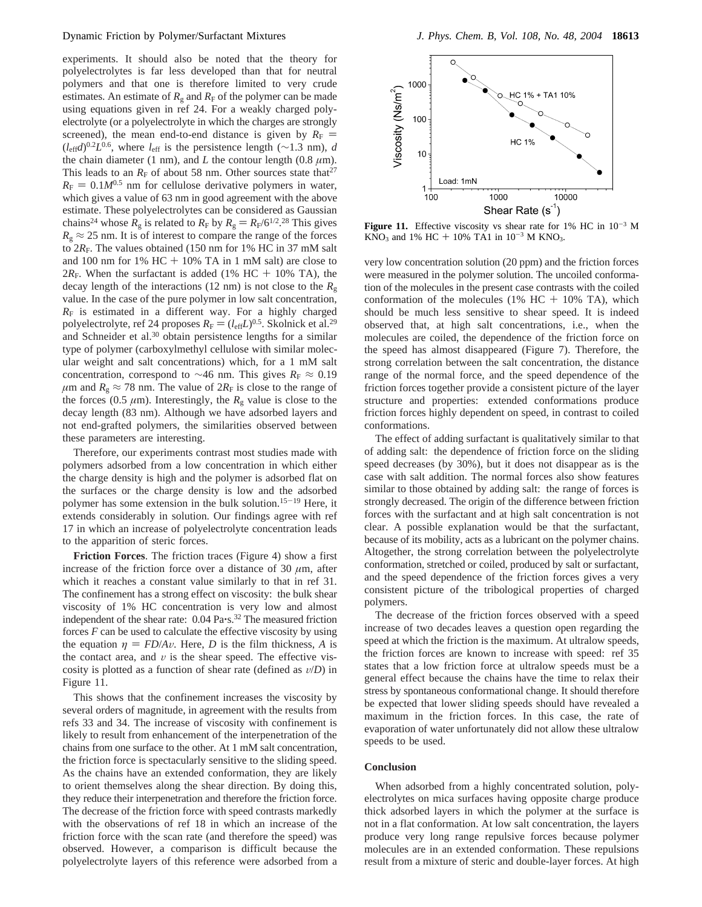experiments. It should also be noted that the theory for polyelectrolytes is far less developed than that for neutral polymers and that one is therefore limited to very crude estimates. An estimate of  $R_g$  and  $R_F$  of the polymer can be made using equations given in ref 24. For a weakly charged polyelectrolyte (or a polyelectrolyte in which the charges are strongly screened), the mean end-to-end distance is given by  $R_F =$  $(l_{\text{eff}}d)^{0.2}L^{0.6}$ , where  $l_{\text{eff}}$  is the persistence length (∼1.3 nm), *d* the chain diameter (1 nm), and *L* the contour length (0.8  $\mu$ m). This leads to an  $R_F$  of about 58 nm. Other sources state that<sup>27</sup>  $R_F = 0.1M^{0.5}$  nm for cellulose derivative polymers in water, which gives a value of 63 nm in good agreement with the above estimate. These polyelectrolytes can be considered as Gaussian chains<sup>24</sup> whose  $R_g$  is related to  $R_F$  by  $R_g = R_F/6^{1/2}$ .<sup>28</sup> This gives  $R_g \approx 25$  nm. It is of interest to compare the range of the forces  $R_{\rm g} \approx 25$  nm. It is of interest to compare the range of the forces to 2R<sub>F</sub>. The values obtained (150 nm for 1% HC in 37 mM salt and 100 nm for 1% HC  $+$  10% TA in 1 mM salt) are close to  $2R_F$ . When the surfactant is added (1% HC + 10% TA), the decay length of the interactions (12 nm) is not close to the  $R_g$ value. In the case of the pure polymer in low salt concentration,  $R_F$  is estimated in a different way. For a highly charged polyelectrolyte, ref 24 proposes  $R_F = (l_{eff}L)^{0.5}$ . Skolnick et al.<sup>29</sup> and Schneider et al.30 obtain persistence lengths for a similar type of polymer (carboxylmethyl cellulose with similar molecular weight and salt concentrations) which, for a 1 mM salt concentration, correspond to ~46 nm. This gives  $R_F \approx 0.19$  $\mu$ m and  $R_g \approx 78$  nm. The value of  $2R_F$  is close to the range of the forces (0.5  $\mu$ m). Interestingly, the  $R_g$  value is close to the decay length (83 nm). Although we have adsorbed layers and not end-grafted polymers, the similarities observed between these parameters are interesting.

Therefore, our experiments contrast most studies made with polymers adsorbed from a low concentration in which either the charge density is high and the polymer is adsorbed flat on the surfaces or the charge density is low and the adsorbed polymer has some extension in the bulk solution.15-<sup>19</sup> Here, it extends considerably in solution. Our findings agree with ref 17 in which an increase of polyelectrolyte concentration leads to the apparition of steric forces.

**Friction Forces**. The friction traces (Figure 4) show a first increase of the friction force over a distance of 30 *µ*m, after which it reaches a constant value similarly to that in ref 31. The confinement has a strong effect on viscosity: the bulk shear viscosity of 1% HC concentration is very low and almost independent of the shear rate: 0.04 Pa·s.<sup>32</sup> The measured friction forces *F* can be used to calculate the effective viscosity by using the equation  $\eta = FD/Av$ . Here, *D* is the film thickness, *A* is the contact area, and  $v$  is the shear speed. The effective viscosity is plotted as a function of shear rate (defined as  $v/D$ ) in Figure 11.

This shows that the confinement increases the viscosity by several orders of magnitude, in agreement with the results from refs 33 and 34. The increase of viscosity with confinement is likely to result from enhancement of the interpenetration of the chains from one surface to the other. At 1 mM salt concentration, the friction force is spectacularly sensitive to the sliding speed. As the chains have an extended conformation, they are likely to orient themselves along the shear direction. By doing this, they reduce their interpenetration and therefore the friction force. The decrease of the friction force with speed contrasts markedly with the observations of ref 18 in which an increase of the friction force with the scan rate (and therefore the speed) was observed. However, a comparison is difficult because the polyelectrolyte layers of this reference were adsorbed from a



Figure 11. Effective viscosity vs shear rate for 1% HC in  $10^{-3}$  M KNO<sub>3</sub> and 1% HC + 10% TA1 in  $10^{-3}$  M KNO<sub>3</sub>.

very low concentration solution (20 ppm) and the friction forces were measured in the polymer solution. The uncoiled conformation of the molecules in the present case contrasts with the coiled conformation of the molecules  $(1\% \text{ HC} + 10\% \text{ TA})$ , which should be much less sensitive to shear speed. It is indeed observed that, at high salt concentrations, i.e., when the molecules are coiled, the dependence of the friction force on the speed has almost disappeared (Figure 7). Therefore, the strong correlation between the salt concentration, the distance range of the normal force, and the speed dependence of the friction forces together provide a consistent picture of the layer structure and properties: extended conformations produce friction forces highly dependent on speed, in contrast to coiled conformations.

The effect of adding surfactant is qualitatively similar to that of adding salt: the dependence of friction force on the sliding speed decreases (by 30%), but it does not disappear as is the case with salt addition. The normal forces also show features similar to those obtained by adding salt: the range of forces is strongly decreased. The origin of the difference between friction forces with the surfactant and at high salt concentration is not clear. A possible explanation would be that the surfactant, because of its mobility, acts as a lubricant on the polymer chains. Altogether, the strong correlation between the polyelectrolyte conformation, stretched or coiled, produced by salt or surfactant, and the speed dependence of the friction forces gives a very consistent picture of the tribological properties of charged polymers.

The decrease of the friction forces observed with a speed increase of two decades leaves a question open regarding the speed at which the friction is the maximum. At ultralow speeds, the friction forces are known to increase with speed: ref 35 states that a low friction force at ultralow speeds must be a general effect because the chains have the time to relax their stress by spontaneous conformational change. It should therefore be expected that lower sliding speeds should have revealed a maximum in the friction forces. In this case, the rate of evaporation of water unfortunately did not allow these ultralow speeds to be used.

#### **Conclusion**

When adsorbed from a highly concentrated solution, polyelectrolytes on mica surfaces having opposite charge produce thick adsorbed layers in which the polymer at the surface is not in a flat conformation. At low salt concentration, the layers produce very long range repulsive forces because polymer molecules are in an extended conformation. These repulsions result from a mixture of steric and double-layer forces. At high